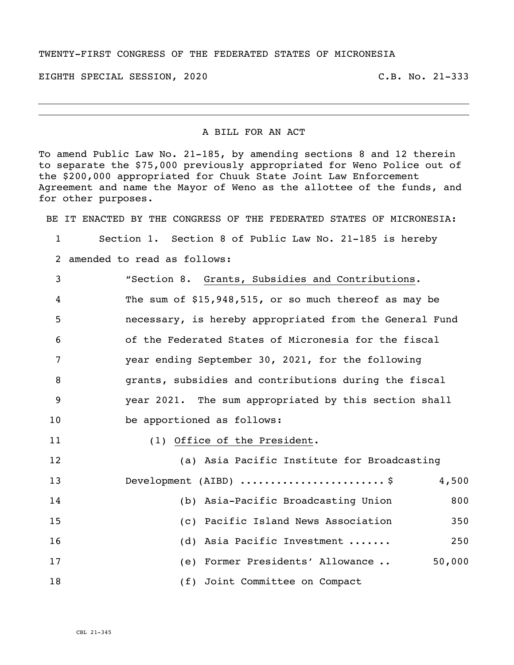#### TWENTY-FIRST CONGRESS OF THE FEDERATED STATES OF MICRONESIA

EIGHTH SPECIAL SESSION, 2020 C.B. No. 21-333

#### A BILL FOR AN ACT

To amend Public Law No. 21-185, by amending sections 8 and 12 therein to separate the \$75,000 previously appropriated for Weno Police out of the \$200,000 appropriated for Chuuk State Joint Law Enforcement Agreement and name the Mayor of Weno as the allottee of the funds, and for other purposes.

BE IT ENACTED BY THE CONGRESS OF THE FEDERATED STATES OF MICRONESIA:

Section 1. Section 8 of Public Law No. 21-185 is hereby

amended to read as follows:

 "Section 8. Grants, Subsidies and Contributions. The sum of \$15,948,515**,** or so much thereof as may be necessary, is hereby appropriated from the General Fund of the Federated States of Micronesia for the fiscal year ending September 30, 2021, for the following grants, subsidies and contributions during the fiscal year 2021. The sum appropriated by this section shall be apportioned as follows:

11 (1) Office of the President.

| 12 | (a) Asia Pacific Institute for Broadcasting |        |
|----|---------------------------------------------|--------|
| 13 | Development (AIBD) $\ldots$ \$              | 4,500  |
| 14 | (b) Asia-Pacific Broadcasting Union         | 800    |
| 15 | (c) Pacific Island News Association         | 350    |
| 16 | (d) Asia Pacific Investment                 | 250    |
| 17 | Former Presidents' Allowance<br>(e)         | 50,000 |
| 18 | (f) Joint Committee on Compact              |        |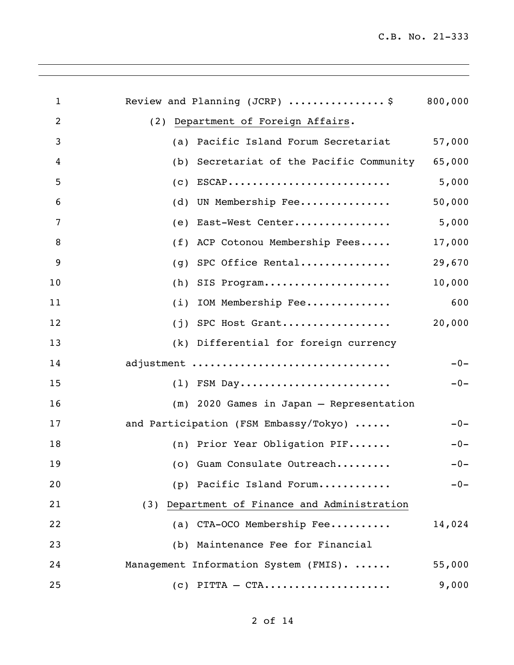| 1              | Review and Planning (JCRP) $\ldots \ldots \ldots \ldots$ | 800,000 |
|----------------|----------------------------------------------------------|---------|
| $\overline{2}$ | (2) Department of Foreign Affairs.                       |         |
| 3              | Pacific Island Forum Secretariat<br>(a)                  | 57,000  |
| 4              | Secretariat of the Pacific Community<br>(b)              | 65,000  |
| 5              | $ESCAP$<br>(C)                                           | 5,000   |
| 6              | UN Membership Fee<br>(d)                                 | 50,000  |
| 7              | East-West Center<br>(e)                                  | 5,000   |
| 8              | ACP Cotonou Membership Fees<br>(f)                       | 17,000  |
| 9              | SPC Office Rental<br>(g)                                 | 29,670  |
| 10             | SIS Program<br>(h)                                       | 10,000  |
| 11             | IOM Membership Fee<br>(i)                                | 600     |
| 12             | $(j)$ SPC Host Grant                                     | 20,000  |
| 13             | (k) Differential for foreign currency                    |         |
| 14             | adjustment                                               | $-0-$   |
| 15             | $(1)$ FSM Day                                            | $-0-$   |
| 16             | (m) 2020 Games in Japan - Representation                 |         |
| 17             | and Participation (FSM Embassy/Tokyo)                    | $-0-$   |
| 18             | (n) Prior Year Obligation PIF                            | $-0-$   |
| 19             | (o) Guam Consulate Outreach                              | $-0-$   |
| 20             | (p) Pacific Island Forum                                 | $-0-$   |
| 21             | (3) Department of Finance and Administration             |         |
| 22             | (a) CTA-OCO Membership Fee                               | 14,024  |
| 23             | (b) Maintenance Fee for Financial                        |         |
| 24             | Management Information System (FMIS).                    | 55,000  |
| 25             | $(c)$ PITTA – CTA                                        | 9,000   |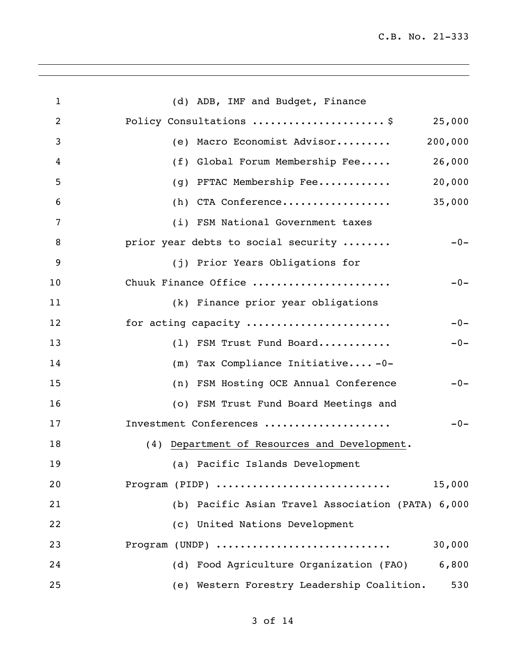| $\mathbf{1}$   | (d) ADB, IMF and Budget, Finance                  |
|----------------|---------------------------------------------------|
| $\overline{2}$ | Policy Consultations  \$<br>25,000                |
| 3              | 200,000<br>(e) Macro Economist Advisor            |
| 4              | Global Forum Membership Fee<br>26,000<br>(f)      |
| 5              | 20,000<br>PFTAC Membership Fee<br>(g)             |
| 6              | (h) CTA Conference<br>35,000                      |
| 7              | (i) FSM National Government taxes                 |
| 8              | prior year debts to social security<br>$-0-$      |
| 9              | (j) Prior Years Obligations for                   |
| 10             | Chuuk Finance Office<br>$-0-$                     |
| 11             | (k) Finance prior year obligations                |
| 12             | for acting capacity<br>$-0-$                      |
| 13             | (1) FSM Trust Fund Board<br>$-0-$                 |
| 14             | Tax Compliance Initiative-0-<br>(m)               |
| 15             | (n) FSM Hosting OCE Annual Conference<br>$-0-$    |
| 16             | (o) FSM Trust Fund Board Meetings and             |
| 17             | Investment Conferences<br>$-0-$                   |
| 18             | (4) Department of Resources and Development.      |
| 19             | (a) Pacific Islands Development                   |
| 20             | 15,000<br>Program (PIDP)                          |
| 21             | (b) Pacific Asian Travel Association (PATA) 6,000 |
| 22             | (c) United Nations Development                    |
| 23             | Program (UNDP)<br>30,000                          |
| 24             | (d) Food Agriculture Organization (FAO)<br>6,800  |
| 25             | (e) Western Forestry Leadership Coalition.<br>530 |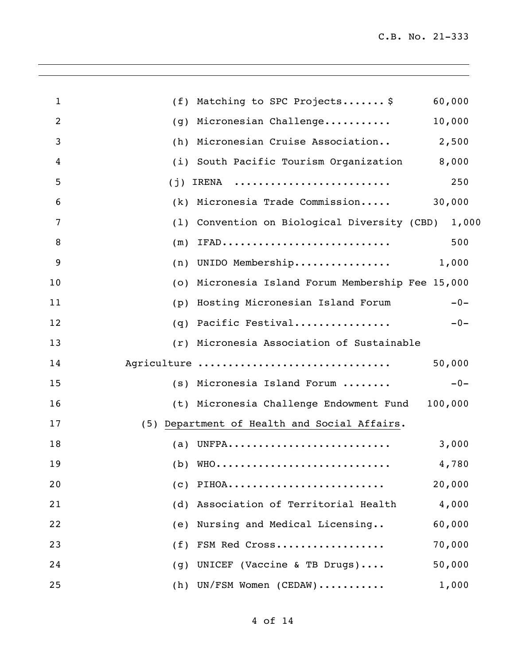| $\mathbf{1}$   | (f) Matching to SPC Projects \$<br>60,000          |
|----------------|----------------------------------------------------|
| $\overline{2}$ | (g) Micronesian Challenge<br>10,000                |
| 3              | (h) Micronesian Cruise Association<br>2,500        |
| 4              | (i) South Pacific Tourism Organization<br>8,000    |
| 5              | 250<br>IRENA<br>(j)                                |
| 6              | (k) Micronesia Trade Commission<br>30,000          |
| 7              | (1) Convention on Biological Diversity (CBD) 1,000 |
| 8              | $(m)$ IFAD<br>500                                  |
| 9              | $(n)$ UNIDO Membership 1,000                       |
| 10             | (o) Micronesia Island Forum Membership Fee 15,000  |
| 11             | Hosting Micronesian Island Forum<br>$-0-$<br>(p)   |
| 12             | (q) Pacific Festival<br>$-0-$                      |
| 13             | (r) Micronesia Association of Sustainable          |
| 14             | Agriculture<br>50,000                              |
| 15             | $-0-$<br>(s) Micronesia Island Forum               |
| 16             | (t) Micronesia Challenge Endowment Fund 100,000    |
| 17             | (5) Department of Health and Social Affairs.       |
| 18             | (a) UNFPA<br>3,000                                 |
| 19             | 4,780<br>$(b)$ WHO                                 |
| 20             | 20,000<br>PIHOA<br>(c)                             |
| 21             | Association of Territorial Health<br>4,000<br>(d)  |
| 22             | Nursing and Medical Licensing<br>60,000<br>(e)     |
| 23             | 70,000<br>FSM Red Cross<br>(f)                     |
| 24             | 50,000<br>UNICEF (Vaccine & TB Drugs)<br>(g)       |
| 25             | (h) UN/FSM Women (CEDAW)<br>1,000                  |

,我们也不会有什么。""我们的人,我们也不会有什么?""我们的人,我们也不会有什么?""我们的人,我们也不会有什么?""我们的人,我们也不会有什么?""我们的人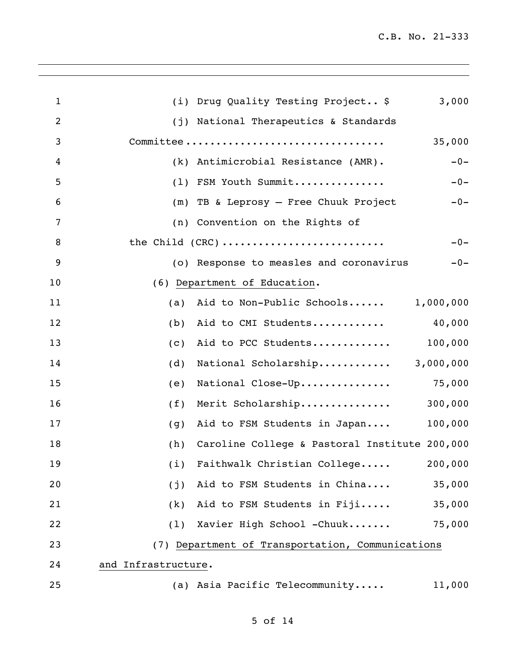| $\mathbf{1}$   | (i) Drug Quality Testing Project \$<br>3,000         |
|----------------|------------------------------------------------------|
| $\overline{2}$ | (j) National Therapeutics & Standards                |
| 3              | Committee<br>35,000                                  |
| 4              | (k) Antimicrobial Resistance (AMR).<br>$-0-$         |
| 5              | (1) FSM Youth Summit<br>$-0-$                        |
| 6              | (m) TB & Leprosy - Free Chuuk Project<br>$-0-$       |
| 7              | (n) Convention on the Rights of                      |
| 8              | the Child (CRC)<br>$-0-$                             |
| 9              | (o) Response to measles and coronavirus<br>$-0-$     |
| 10             | (6) Department of Education.                         |
| 11             | Aid to Non-Public Schools 1,000,000<br>(a)           |
| 12             | Aid to CMI Students<br>40,000<br>(b)                 |
| 13             | 100,000<br>Aid to PCC Students<br>(c)                |
| 14             | National Scholarship<br>3,000,000<br>(d)             |
| 15             | National Close-Up 75,000<br>(e)                      |
| 16             | Merit Scholarship<br>300,000<br>(f)                  |
| 17             | 100,000<br>Aid to FSM Students in Japan<br>(g)       |
| 18             | Caroline College & Pastoral Institute 200,000<br>(h) |
| 19             | (i) Faithwalk Christian College<br>200,000           |
| 20             | Aid to FSM Students in China<br>35,000<br>(j)        |
| 21             | Aid to FSM Students in Fiji<br>35,000<br>(k)         |
| 22             | Xavier High School -Chuuk<br>75,000<br>(1)           |
| 23             | (7) Department of Transportation, Communications     |
| 24             | and Infrastructure.                                  |
| 25             | (a) Asia Pacific Telecommunity<br>11,000             |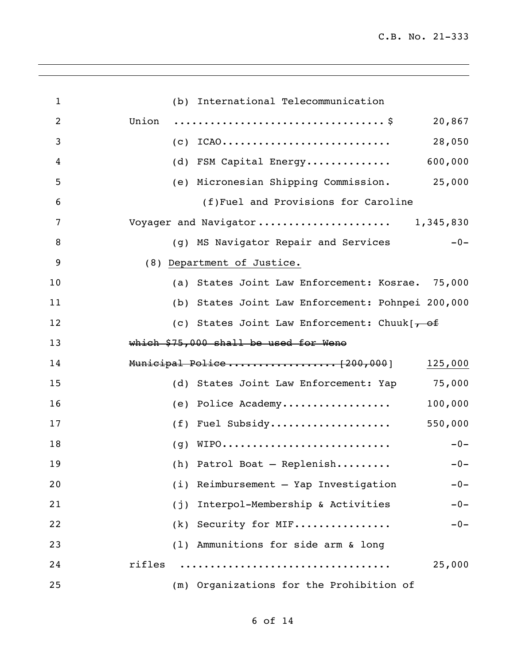| $\mathbf{1}$   | (b) International Telecommunication                |
|----------------|----------------------------------------------------|
| $\overline{2}$ | Union<br>20,867                                    |
| 3              | 28,050<br>$(C)$ ICAO                               |
| 4              | 600,000<br>(d) FSM Capital Energy                  |
| 5              | (e) Micronesian Shipping Commission. 25,000        |
| 6              | (f)Fuel and Provisions for Caroline                |
| 7              | Voyager and Navigator 1,345,830                    |
| 8              | (g) MS Navigator Repair and Services<br>$-0-$      |
| 9              | (8) Department of Justice.                         |
| 10             | (a) States Joint Law Enforcement: Kosrae. 75,000   |
| 11             | (b) States Joint Law Enforcement: Pohnpei 200,000  |
| 12             | (c) States Joint Law Enforcement: Chuuk $\sqrt{f}$ |
| 13             | which \$75,000 shall be used for Weno              |
| 14             | Municipal Police[200,000]<br>125,000               |
| 15             | (d) States Joint Law Enforcement: Yap 75,000       |
| 16             | (e) Police Academy<br>100,000                      |
| 17             | (f) Fuel Subsidy<br>550,000                        |
| 18             | $(g)$ WIPO<br>$-0-$                                |
| 19             | (h) Patrol Boat - Replenish $-0-$                  |
| 20             | (i) Reimbursement - Yap Investigation<br>$-0-$     |
| 21             | Interpol-Membership & Activities<br>$-0-$<br>(j)   |
| 22             | (k) Security for MIF<br>$-0-$                      |
| 23             | (1) Ammunitions for side arm & long                |
| 24             | rifles<br>25,000                                   |
| 25             | (m) Organizations for the Prohibition of           |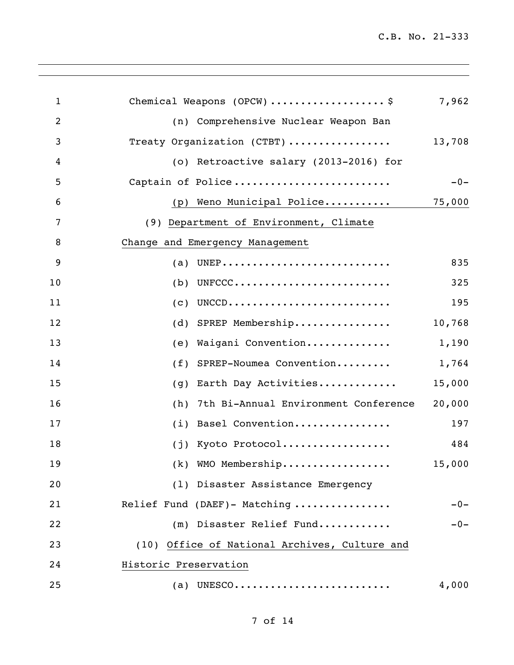| $\mathbf{1}$   | Chemical Weapons (OPCW) \$                    | 7,962  |
|----------------|-----------------------------------------------|--------|
| $\overline{2}$ | (n) Comprehensive Nuclear Weapon Ban          |        |
| 3              | Treaty Organization (CTBT)                    | 13,708 |
| 4              | (o) Retroactive salary (2013-2016) for        |        |
| 5              | Captain of Police                             | $-0-$  |
| 6              | (p) Weno Municipal Police                     | 75,000 |
| 7              | (9) Department of Environment, Climate        |        |
| 8              | Change and Emergency Management               |        |
| 9              | (a)                                           | 835    |
| 10             | UNFCCC<br>(b)                                 | 325    |
| 11             | UNCCD<br>(c)                                  | 195    |
| 12             | SPREP Membership<br>(d)                       | 10,768 |
| 13             | Waigani Convention<br>(e)                     | 1,190  |
| 14             | SPREP-Noumea Convention<br>(f)                | 1,764  |
| 15             | Earth Day Activities<br>(g)                   | 15,000 |
| 16             | 7th Bi-Annual Environment Conference<br>(h)   | 20,000 |
| 17             | Basel Convention<br>(i)                       | 197    |
| 18             | (j) Kyoto Protocol                            | 484    |
| 19             | (k) WMO Membership                            | 15,000 |
| 20             | (1) Disaster Assistance Emergency             |        |
| 21             | Relief Fund (DAEF)- Matching                  | $-0-$  |
| 22             | (m) Disaster Relief Fund                      | $-0-$  |
| 23             | (10) Office of National Archives, Culture and |        |
| 24             | Historic Preservation                         |        |
| 25             | (a) UNESCO                                    | 4,000  |
|                |                                               |        |

,我们也不会有什么。""我们的人,我们也不会有什么?""我们的人,我们也不会有什么?""我们的人,我们也不会有什么?""我们的人,我们也不会有什么?""我们的人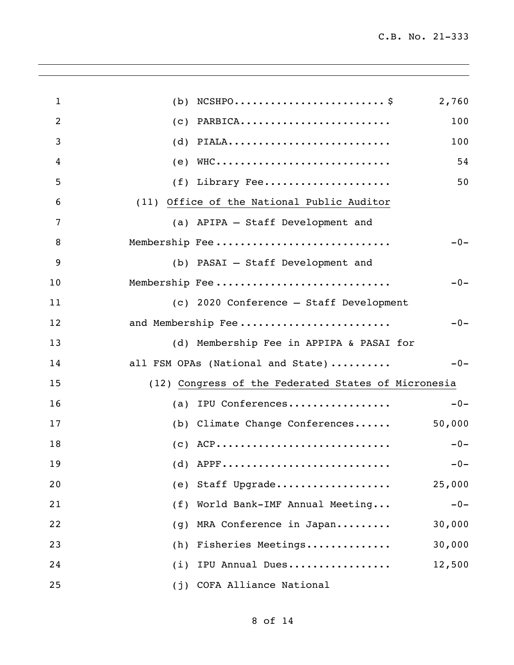| $\mathbf{1}$   | 2,760<br>(b)                                        |  |
|----------------|-----------------------------------------------------|--|
| $\overline{2}$ | PARBICA<br>100<br>(c)                               |  |
| 3              | PIALA<br>100<br>(d)                                 |  |
| 4              | $(e)$ WHC<br>54                                     |  |
| 5              | (f) Library Fee<br>50                               |  |
| 6              | (11) Office of the National Public Auditor          |  |
| 7              | (a) APIPA - Staff Development and                   |  |
| 8              | Membership Fee<br>$-0-$                             |  |
| 9              | (b) PASAI - Staff Development and                   |  |
| 10             | Membership Fee<br>$-0-$                             |  |
| 11             | (c) 2020 Conference - Staff Development             |  |
| 12             | and Membership Fee<br>$-0-$                         |  |
| 13             | (d) Membership Fee in APPIPA & PASAI for            |  |
| 14             | all FSM OPAs (National and State)<br>$-0-$          |  |
| 15             | (12) Congress of the Federated States of Micronesia |  |
| 16             | (a) IPU Conferences<br>$-0-$                        |  |
| 17             | (b) Climate Change Conferences<br>50,000            |  |
| 18             | $(C)$ ACP<br>$-0-$                                  |  |
| 19             | $(d)$ APPF<br>$-0-$                                 |  |
| 20             | (e) Staff Upgrade<br>25,000                         |  |
| 21             | (f) World Bank-IMF Annual Meeting<br>$-0-$          |  |
| 22             | MRA Conference in Japan<br>30,000<br>(g)            |  |
| 23             | (h) Fisheries Meetings<br>30,000                    |  |
| 24             | (i) IPU Annual Dues<br>12,500                       |  |
| 25             | (j) COFA Alliance National                          |  |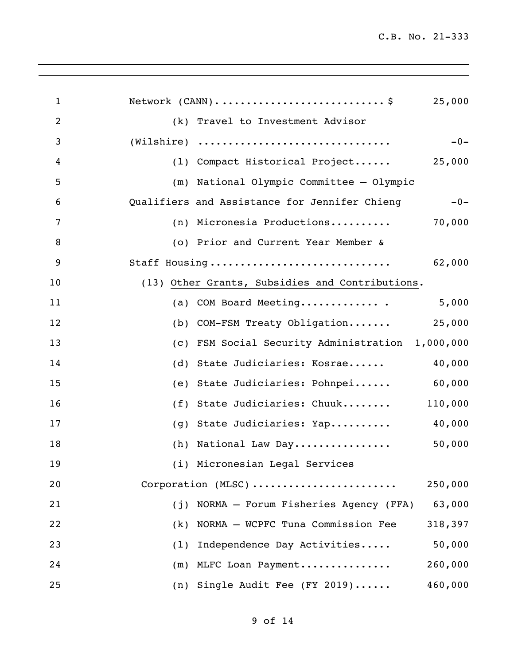| 1  | Network (CANN)\$<br>25,000                             |
|----|--------------------------------------------------------|
| 2  | (k) Travel to Investment Advisor                       |
| 3  | (Wilshire)<br>$-0-$                                    |
| 4  | (1) Compact Historical Project<br>25,000               |
| 5  | (m) National Olympic Committee - Olympic               |
| 6  | Qualifiers and Assistance for Jennifer Chieng<br>$-0-$ |
| 7  | (n) Micronesia Productions<br>70,000                   |
| 8  | (o) Prior and Current Year Member &                    |
| 9  | Staff Housing<br>62,000                                |
| 10 | (13) Other Grants, Subsidies and Contributions.        |
| 11 | 5,000<br>(a) COM Board Meeting                         |
| 12 | 25,000<br>(b) COM-FSM Treaty Obligation                |
| 13 | FSM Social Security Administration 1,000,000<br>(c)    |
| 14 | State Judiciaries: Kosrae<br>40,000<br>(d)             |
| 15 | State Judiciaries: Pohnpei<br>60,000<br>(e)            |
| 16 | State Judiciaries: Chuuk<br>110,000<br>(f)             |
| 17 | 40,000<br>State Judiciaries: Yap<br>(g)                |
| 18 | (h) National Law Day<br>50,000                         |
| 19 | (i) Micronesian Legal Services                         |
| 20 | Corporation (MLSC)<br>250,000                          |
| 21 | NORMA - Forum Fisheries Agency (FFA)<br>63,000<br>(i)  |
| 22 | NORMA - WCPFC Tuna Commission Fee<br>318,397<br>(k)    |
| 23 | Independence Day Activities<br>50,000<br>(1)           |
| 24 | 260,000<br>(m) MLFC Loan Payment                       |
| 25 | (n) Single Audit Fee (FY 2019)<br>460,000              |

,我们也不会有什么。""我们的人,我们也不会有什么?""我们的人,我们也不会有什么?""我们的人,我们的人,我们的人,我们的人,我们的人,我们的人,我们的人,我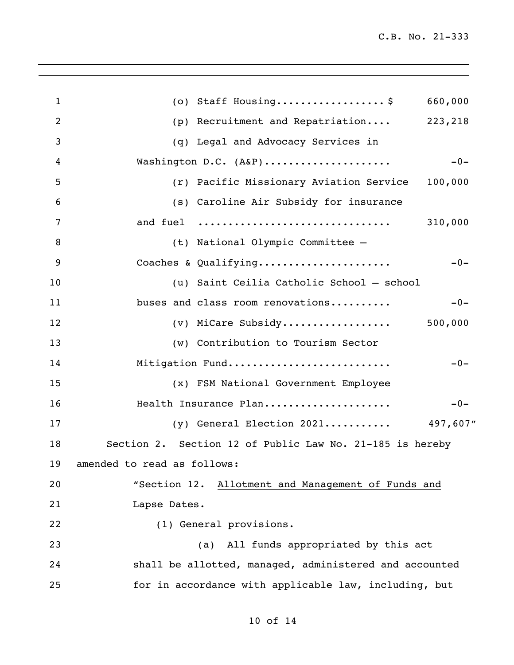| 1  | (o) Staff Housing\$<br>660,000                           |
|----|----------------------------------------------------------|
| 2  | (p) Recruitment and Repatriation 223,218                 |
| 3  | (q) Legal and Advocacy Services in                       |
| 4  | Washington D.C. (A&P)<br>$-0-$                           |
| 5  | (r) Pacific Missionary Aviation Service<br>100,000       |
| 6  | (s) Caroline Air Subsidy for insurance                   |
| 7  | and fuel<br>310,000                                      |
| 8  | (t) National Olympic Committee -                         |
| 9  | Coaches & Qualifying<br>$-0-$                            |
| 10 | (u) Saint Ceilia Catholic School - school                |
| 11 | buses and class room renovations<br>$-0-$                |
| 12 | $(v)$ MiCare Subsidy 500,000                             |
| 13 | (w) Contribution to Tourism Sector                       |
| 14 | Mitigation Fund<br>$-0-$                                 |
| 15 | (x) FSM National Government Employee                     |
| 16 | Health Insurance Plan<br>$-0-$                           |
| 17 | (y) General Election 2021 497,607"                       |
| 18 | Section 2. Section 12 of Public Law No. 21-185 is hereby |
|    | 19 amended to read as follows:                           |
| 20 | "Section 12. Allotment and Management of Funds and       |
| 21 | Lapse Dates.                                             |
| 22 | (1) General provisions.                                  |
| 23 | All funds appropriated by this act<br>(a)                |
| 24 | shall be allotted, managed, administered and accounted   |
| 25 | for in accordance with applicable law, including, but    |
|    |                                                          |

# of 14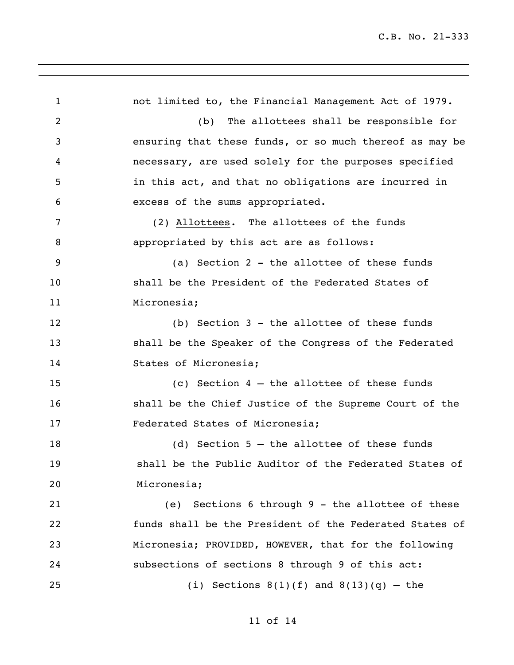not limited to, the Financial Management Act of 1979. (b) The allottees shall be responsible for ensuring that these funds, or so much thereof as may be necessary, are used solely for the purposes specified in this act, and that no obligations are incurred in excess of the sums appropriated. (2) Allottees. The allottees of the funds appropriated by this act are as follows: (a) Section 2 - the allottee of these funds shall be the President of the Federated States of Micronesia; (b) Section 3 - the allottee of these funds shall be the Speaker of the Congress of the Federated States of Micronesia; (c) Section 4 – the allottee of these funds shall be the Chief Justice of the Supreme Court of the Federated States of Micronesia; (d) Section 5 – the allottee of these funds shall be the Public Auditor of the Federated States of Micronesia; (e) Sections 6 through 9 - the allottee of these funds shall be the President of the Federated States of Micronesia; PROVIDED, HOWEVER, that for the following subsections of sections 8 through 9 of this act: 25 (i) Sections  $8(1)(f)$  and  $8(13)(q)$  – the

### of 14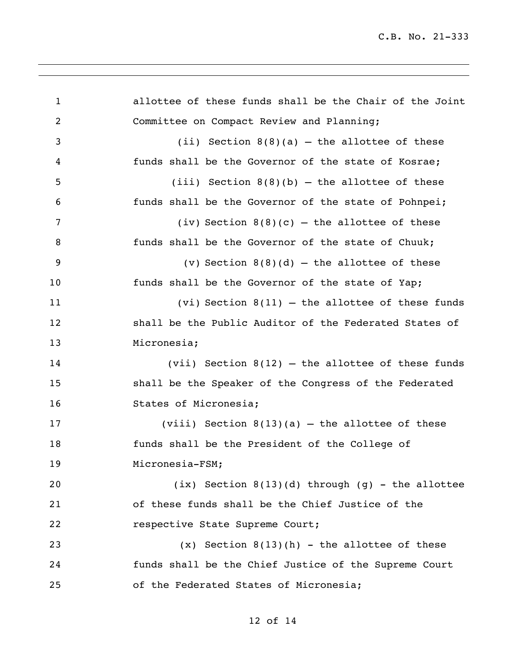allottee of these funds shall be the Chair of the Joint Committee on Compact Review and Planning; (ii) Section 8(8)(a) – the allottee of these funds shall be the Governor of the state of Kosrae; (iii) Section 8(8)(b) – the allottee of these funds shall be the Governor of the state of Pohnpei; 7 (iv) Section  $8(8)(c)$  – the allottee of these funds shall be the Governor of the state of Chuuk; (v) Section 8(8)(d) – the allottee of these 10 funds shall be the Governor of the state of Yap; (vi) Section 8(11) – the allottee of these funds shall be the Public Auditor of the Federated States of Micronesia; (vii) Section 8(12) – the allottee of these funds shall be the Speaker of the Congress of the Federated States of Micronesia; (viii) Section 8(13)(a) – the allottee of these funds shall be the President of the College of Micronesia-FSM; (ix) Section 8(13)(d) through (g) - the allottee of these funds shall be the Chief Justice of the respective State Supreme Court; (x) Section 8(13)(h) - the allottee of these funds shall be the Chief Justice of the Supreme Court of the Federated States of Micronesia;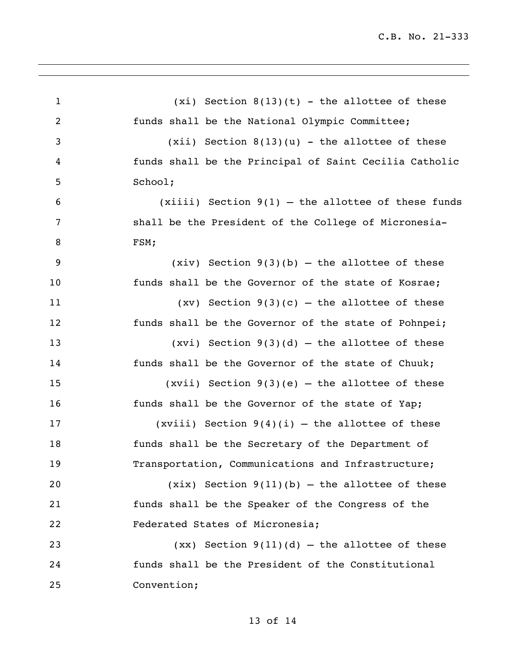| $\mathbf 1$ | $(xi)$ Section $8(13)(t)$ - the allottee of these      |
|-------------|--------------------------------------------------------|
| 2           | funds shall be the National Olympic Committee;         |
| 3           | $(xii)$ Section $8(13)(u)$ - the allottee of these     |
| 4           | funds shall be the Principal of Saint Cecilia Catholic |
| 5           | School;                                                |
| 6           | $(xiii)$ Section $9(1)$ – the allottee of these funds  |
| 7           | shall be the President of the College of Micronesia-   |
| 8           | FSM;                                                   |
| 9           | $(xiv)$ Section 9(3)(b) – the allottee of these        |
| 10          | funds shall be the Governor of the state of Kosrae;    |
| 11          | $(xv)$ Section 9(3)(c) – the allottee of these         |
| 12          | funds shall be the Governor of the state of Pohnpei;   |
| 13          | $(xvi)$ Section 9(3)(d) – the allottee of these        |
| 14          | funds shall be the Governor of the state of Chuuk;     |
| 15          | $(xvii)$ Section 9(3)(e) – the allottee of these       |
| 16          | funds shall be the Governor of the state of Yap;       |
| 17          | (xviii) Section $9(4)(i)$ - the allottee of these      |
| 18          | funds shall be the Secretary of the Department of      |
| 19          | Transportation, Communications and Infrastructure;     |
| 20          | $(xix)$ Section $9(11)(b)$ – the allottee of these     |
| 21          | funds shall be the Speaker of the Congress of the      |
| 22          | Federated States of Micronesia;                        |
| 23          | $(xx)$ Section $9(11)(d)$ - the allottee of these      |
| 24          | funds shall be the President of the Constitutional     |
| 25          | Convention;                                            |
|             |                                                        |

# of 14